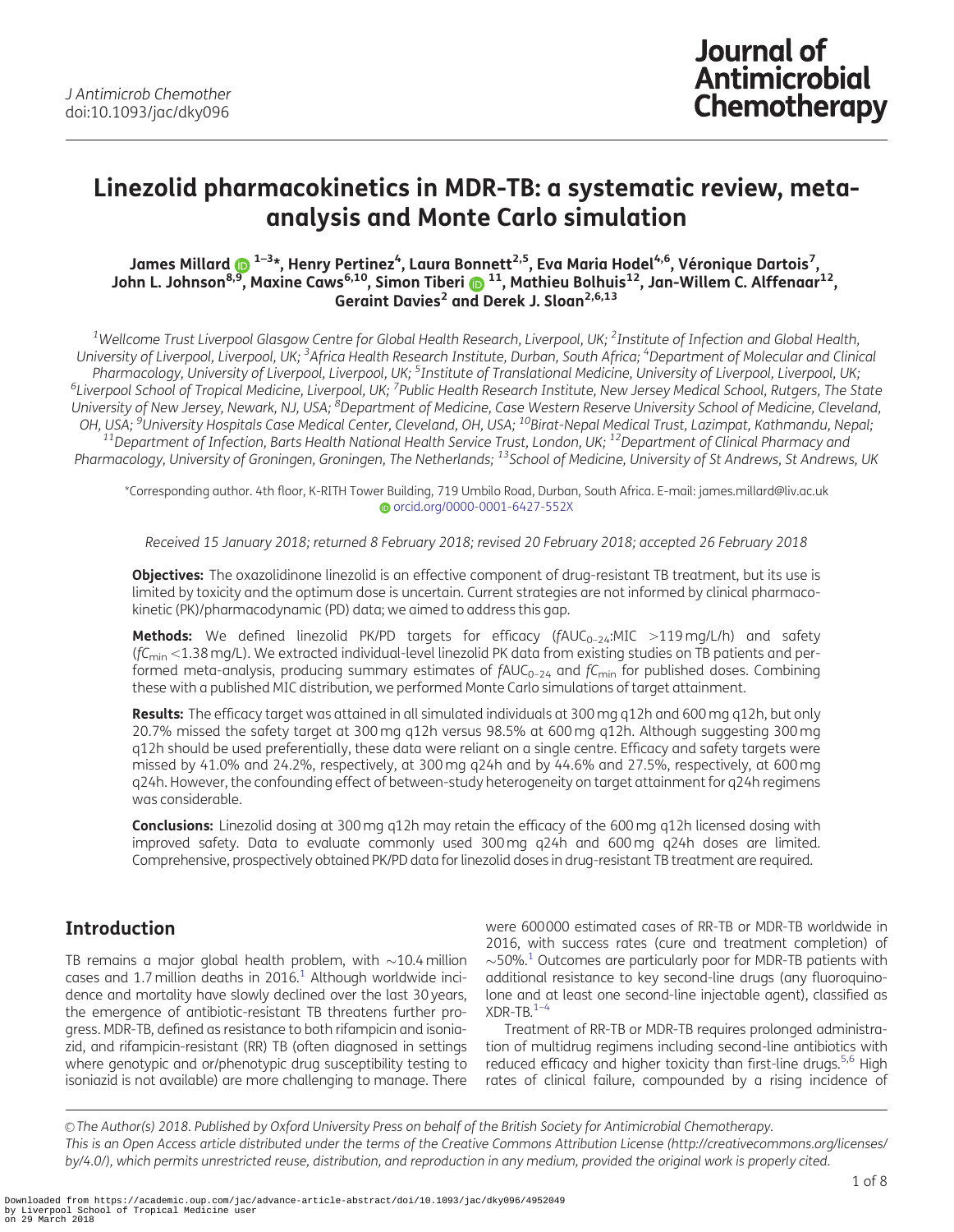# <span id="page-0-0"></span>Linezolid pharmacokinetics in MDR-TB: a systematic review, metaanalysis and Monte Carlo simulation

James Millard ���������, Henry Pertinez<sup>4</sup>, Laura Bonnett<sup>2,5</sup>, Eva Maria Hodel<sup>4,6</sup>, Véronique Dartois<sup>7</sup>, John L. Johnson<sup>8[,9](http://orcid.org/0000-0001-6427-552X)</sup>, Maxine Caws<sup>6,10</sup>, Simon Tiberi 11, Mathieu Bolhuis<sup>12</sup>, Jan-Willem C. Alffenaar<sup>12</sup>, Geraint Davies<sup>2</sup> and Derek J. Sloan<sup>2,6,13</sup>

<sup>1</sup>Wellcome Trust Liverpool Glasgow Centre for Global Health Research, Liverpool, UK; <sup>2</sup>Institute of Infection and Global Health, University of Liverpool, Liverpool, UK; <sup>3</sup>Africa Health Research Institute, Durban, South Africa; <sup>4</sup>Department of Molecular and Clinical Pharmacology, University of Liverpool, Liverpool, UK; <sup>5</sup>Institute of Translational Medicine, University of Liverpool, Liverpool, UK; Pharmacology, University of Liverpool, Liverpool, Liverpool, UK; <sup>3</sup>Institute of Translational Medicine, University of Liverpool, Liverpool, UK;<br><sup>6</sup>Liverpool School, Rutgers, The State<sup>7</sup> (Aliverpool School, Rutgers, The S University of New Jersey, Newark, NJ, USA; <sup>8</sup>Department of Medicine, Case Western Reserve University School of Medicine, Cleveland, ,OH, USA; <sup>9</sup>University Hospitals Case Medical Center, Cleveland, OH, USA; <sup>10</sup>Birat-Nepal Medical Trust, Lazimpat, Kathmandu, Nepal;<br><sup>11</sup>Department of Infection, Barts Health National Health Service Trust, London, UK; <sup>12</sup> Pharmacology, University of Groningen, Groningen, The Netherlands; <sup>13</sup>School of Medicine, University of St Andrews, St Andrews, UK

\*Corresponding author. 4th floor, K-RITH Tower Building, 719 Umbilo Road, Durban, South Africa. E-mail: james.millard@liv.ac.uk [orcid.org/0000-0001-6427-552X](http://orcid.org/0000-0001-6427-552X)

Received 15 January 2018; returned 8 February 2018; revised 20 February 2018; accepted 26 February 2018

Objectives: The oxazolidinone linezolid is an effective component of drug-resistant TB treatment, but its use is limited by toxicity and the optimum dose is uncertain. Current strategies are not informed by clinical pharmacokinetic (PK)/pharmacodynamic (PD) data; we aimed to address this gap.

**Methods:** We defined linezolid PK/PD targets for efficacy ( $fAUC_{0-24}:MIC >119$  mg/L/h) and safety ( $fC_{\text{min}}$  <1.38 mg/L). We extracted individual-level linezolid PK data from existing studies on TB patients and performed meta-analysis, producing summary estimates of  $fAUC_{0-24}$  and  $fC_{min}$  for published doses. Combining these with a published MIC distribution, we performed Monte Carlo simulations of target attainment.

Results: The efficacy target was attained in all simulated individuals at 300 mg q12h and 600 mg q12h, but only 20.7% missed the safety target at 300 mg q12h versus 98.5% at 600 mg q12h. Although suggesting 300 mg q12h should be used preferentially, these data were reliant on a single centre. Efficacy and safety targets were missed by 41.0% and 24.2%, respectively, at 300 mg q24h and by 44.6% and 27.5%, respectively, at 600 mg q24h. However, the confounding effect of between-study heterogeneity on target attainment for q24h regimens was considerable.

**Conclusions:** Linezolid dosing at 300 mg q12h may retain the efficacy of the 600 mg q12h licensed dosing with improved safety. Data to evaluate commonly used 300 mg q24h and 600 mg q24h doses are limited. Comprehensive, prospectively obtained PK/PD data for linezolid doses in drug-resistant TB treatment are required.

# Introduction

TB remains a major global health problem, with  ${\sim}10.4\,\mathrm{million}$ cases and 1.7 million deaths in  $2016<sup>1</sup>$  Although worldwide incidence and mortality have slowly declined over the last 30 years, the emergence of antibiotic-resistant TB threatens further progress. MDR-TB, defined as resistance to both rifampicin and isoniazid, and rifampicin-resistant (RR) TB (often diagnosed in settings where genotypic and or/phenotypic drug susceptibility testing to isoniazid is not available) are more challenging to manage. There

were 600000 estimated cases of RR-TB or MDR-TB worldwide in 2016, with success rates (cure and treatment completion) of  $\sim$ 50%.<sup>1</sup> Outcomes are particularly poor for MDR-TB patients with additional resistance to key second-line drugs (any fluoroquinolone and at least one second-line injectable agent), classified as  $XDR-TB.<sup>1-4</sup>$ 

Treatment of RR-TB or MDR-TB requires prolonged administration of multidrug regimens including second-line antibiotics with reduced efficacy and higher toxicity than first-line drugs.<sup>[5,6](#page-6-0)</sup> High rates of clinical failure, compounded by a rising incidence of

© The Author(s) 2018. Published by Oxford University Press on behalf of the British Society for Antimicrobial Chemotherapy. This is an Open Access article distributed under the terms of the Creative Commons Attribution License (http://creativecommons.org/licenses/ by/4.0/), which permits unrestricted reuse, distribution, and reproduction in any medium, provided the original work is properly cited.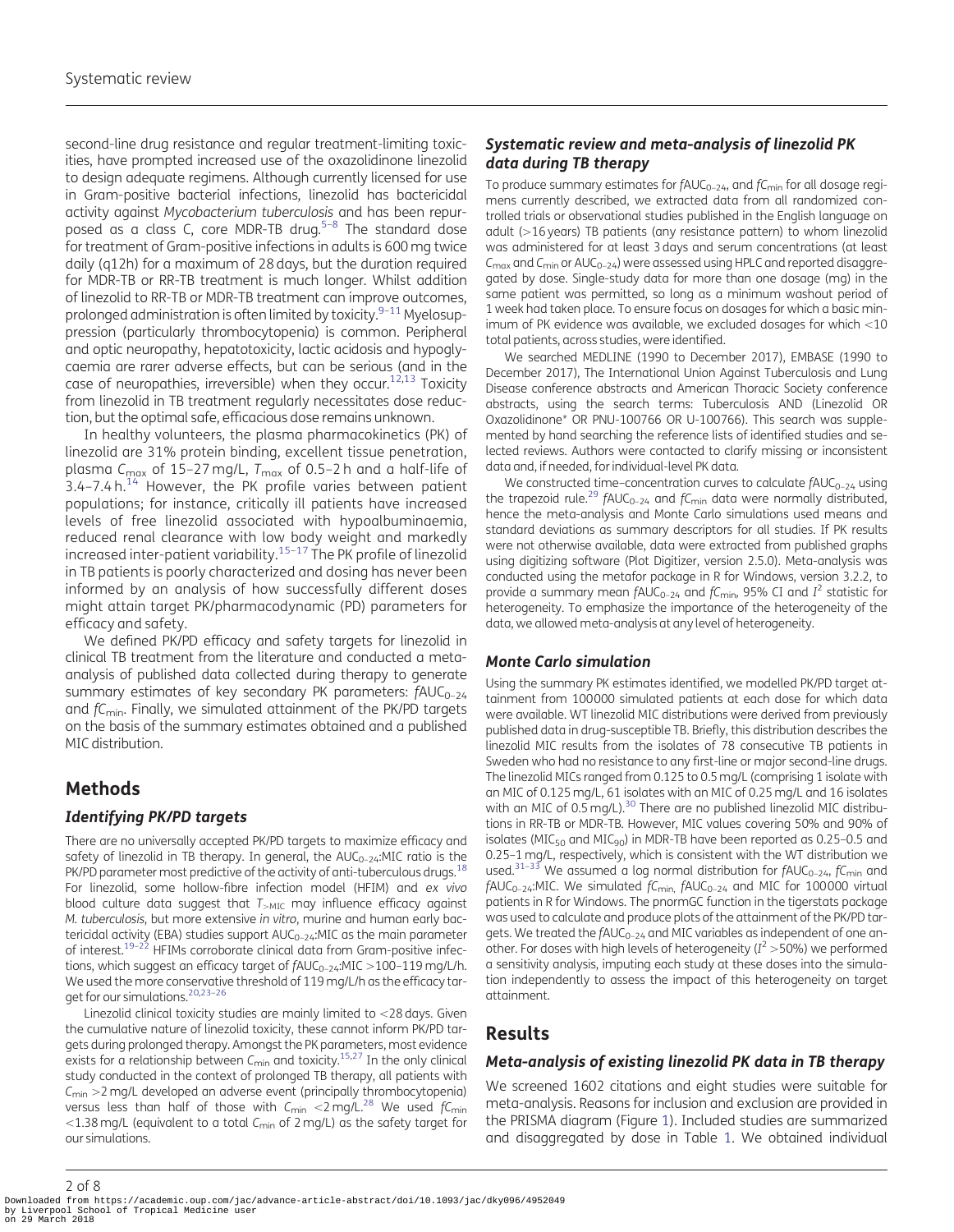<span id="page-1-0"></span>second-line drug resistance and regular treatment-limiting toxicities, have prompted increased use of the oxazolidinone linezolid to design adequate regimens. Although currently licensed for use in Gram-positive bacterial infections, linezolid has bactericidal activity against Mycobacterium tuberculosis and has been repurposed as a class C, core MDR-TB drug.<sup>5-8</sup> The standard dose for treatment of Gram-positive infections in adults is 600 mg twice daily (q12h) for a maximum of 28 days, but the duration required for MDR-TB or RR-TB treatment is much longer. Whilst addition of linezolid to RR-TB or MDR-TB treatment can improve outcomes, prolonged administration is often limited by toxicity. $9-11$  Myelosuppression (particularly thrombocytopenia) is common. Peripheral and optic neuropathy, hepatotoxicity, lactic acidosis and hypoglycaemia are rarer adverse effects, but can be serious (and in the case of neuropathies, irreversible) when they occur.<sup>12,13</sup> Toxicity from linezolid in TB treatment regularly necessitates dose reduction, but the optimal safe, efficacious dose remains unknown.

In healthy volunteers, the plasma pharmacokinetics (PK) of linezolid are 31% protein binding, excellent tissue penetration, plasma C<sub>max</sub> of 15-27 mg/L,  $T_{\text{max}}$  of 0.5-2 h and a half-life of  $3.4$ -7.4 h.<sup>[14](#page-6-0)</sup> However, the PK profile varies between patient populations; for instance, critically ill patients have increased levels of free linezolid associated with hypoalbuminaemia, reduced renal clearance with low body weight and markedly increased inter-patient variability. $15-17$  The PK profile of linezolid in TB patients is poorly characterized and dosing has never been informed by an analysis of how successfully different doses might attain target PK/pharmacodynamic (PD) parameters for efficacy and safety.

We defined PK/PD efficacy and safety targets for linezolid in clinical TB treatment from the literature and conducted a metaanalysis of published data collected during therapy to generate summary estimates of key secondary PK parameters:  $fAUC_{0-24}$ and  $f_{\rm{Cmin}}$ . Finally, we simulated attainment of the PK/PD targets on the basis of the summary estimates obtained and a published MIC distribution.

# Methods

#### Identifying PK/PD targets

There are no universally accepted PK/PD targets to maximize efficacy and safety of linezolid in TB therapy. In general, the  $AUC_{0-24}$ :MIC ratio is the PK/PD parameter most predictive of the activity of anti-tuberculous drugs.<sup>18</sup> For linezolid, some hollow-fibre infection model (HFIM) and ex vivo blood culture data suggest that  $T_{>MIC}$  may influence efficacy against M. tuberculosis, but more extensive in vitro, murine and human early bactericidal activity (EBA) studies support  $AUC_{0-24}$ :MIC as the main parameter of interest.<sup>19-22</sup> HFIMs corroborate clinical data from Gram-positive infections, which suggest an efficacy target of  $fAUC_{0-24}:MIC >100-119$  mg/L/h. We used the more conservative threshold of 119 mg/L/h as the efficacy target for our simulations.<sup>20,23-26</sup>

Linezolid clinical toxicity studies are mainly limited to  $<$ 28 days. Given the cumulative nature of linezolid toxicity, these cannot inform PK/PD targets during prolonged therapy. Amongst the PK parameters, most evidence exists for a relationship between  $C_{\text{min}}$  and toxicity.<sup>15,27</sup> In the only clinical study conducted in the context of prolonged TB therapy, all patients with  $C_{\text{min}} > 2$  mg/L developed an adverse event (principally thrombocytopenia) versus less than half of those with  $C_{\text{min}} < 2$  mg/L.<sup>28</sup> We used  $fC_{\text{min}}$ <1.38 mg/L (equivalent to a total  $C_{\text{min}}$  of 2 mg/L) as the safety target for our simulations.

### Systematic review and meta-analysis of linezolid PK data during TB therapy

To produce summary estimates for  $fAUC_{0-24}$ , and  $fC_{min}$  for all dosage regimens currently described, we extracted data from all randomized controlled trials or observational studies published in the English language on adult (>16 years) TB patients (any resistance pattern) to whom linezolid was administered for at least 3 days and serum concentrations (at least  $C_{\text{max}}$  and  $C_{\text{min}}$  or AU $C_{0-24}$ ) were assessed using HPLC and reported disaggregated by dose. Single-study data for more than one dosage (mg) in the same patient was permitted, so long as a minimum washout period of 1 week had taken place. To ensure focus on dosages for which a basic minimum of PK evidence was available, we excluded dosages for which  $<$ 10 total patients, across studies, were identified.

We searched MEDLINE (1990 to December 2017), EMBASE (1990 to December 2017), The International Union Against Tuberculosis and Lung Disease conference abstracts and American Thoracic Society conference abstracts, using the search terms: Tuberculosis AND (Linezolid OR Oxazolidinone\* OR PNU-100766 OR U-100766). This search was supplemented by hand searching the reference lists of identified studies and selected reviews. Authors were contacted to clarify missing or inconsistent data and, if needed, for individual-level PK data.

We constructed time-concentration curves to calculate  $fAUC_{0-24}$  using the trapezoid rule.<sup>[29](#page-6-0)</sup> fAUC<sub>0-24</sub> and fC<sub>min</sub> data were normally distributed, hence the meta-analysis and Monte Carlo simulations used means and standard deviations as summary descriptors for all studies. If PK results were not otherwise available, data were extracted from published graphs using digitizing software (Plot Digitizer, version 2.5.0). Meta-analysis was conducted using the metafor package in R for Windows, version 3.2.2, to provide a summary mean  $fAUC_{0-24}$  and  $fC_{\text{min}}$ , 95% CI and  $I^2$  statistic for heterogeneity. To emphasize the importance of the heterogeneity of the data, we allowed meta-analysis at any level of heterogeneity.

#### Monte Carlo simulation

Using the summary PK estimates identified, we modelled PK/PD target attainment from 100000 simulated patients at each dose for which data were available. WT linezolid MIC distributions were derived from previously published data in drug-susceptible TB. Briefly, this distribution describes the linezolid MIC results from the isolates of 78 consecutive TB patients in Sweden who had no resistance to any first-line or major second-line drugs. The linezolid MICs ranged from 0.125 to 0.5 mg/L (comprising 1 isolate with an MIC of 0.125 mg/L, 61 isolates with an MIC of 0.25 mg/L and 16 isolates with an MIC of 0.5 mg/L).<sup>30</sup> There are no published linezolid MIC distributions in RR-TB or MDR-TB. However, MIC values covering 50% and 90% of isolates ( $MIC<sub>50</sub>$  and  $MIC<sub>90</sub>$ ) in MDR-TB have been reported as 0.25-0.5 and 0.25–1 mg/L, respectively, which is consistent with the WT distribution we used.<sup>[31–33](#page-7-0)</sup> We assumed a log normal distribution for  $fAUC_{0-24}$ ,  $fC_{min}$  and  $fAUC_{0-24}$ :MIC. We simulated  $fC_{\text{min}}$ ,  $fAUC_{0-24}$  and MIC for 100000 virtual patients in R for Windows. The pnormGC function in the tigerstats package was used to calculate and produce plots of the attainment of the PK/PD targets. We treated the fAUC<sub>0-24</sub> and MIC variables as independent of one another. For doses with high levels of heterogeneity ( $I^2 > 50$ %) we performed a sensitivity analysis, imputing each study at these doses into the simulation independently to assess the impact of this heterogeneity on target attainment.

# Results

#### Meta-analysis of existing linezolid PK data in TB therapy

We screened 1602 citations and eight studies were suitable for meta-analysis. Reasons for inclusion and exclusion are provided in the PRISMA diagram (Figure [1\)](#page-2-0). Included studies are summarized and disaggregated by dose in Table [1.](#page-3-0) We obtained individual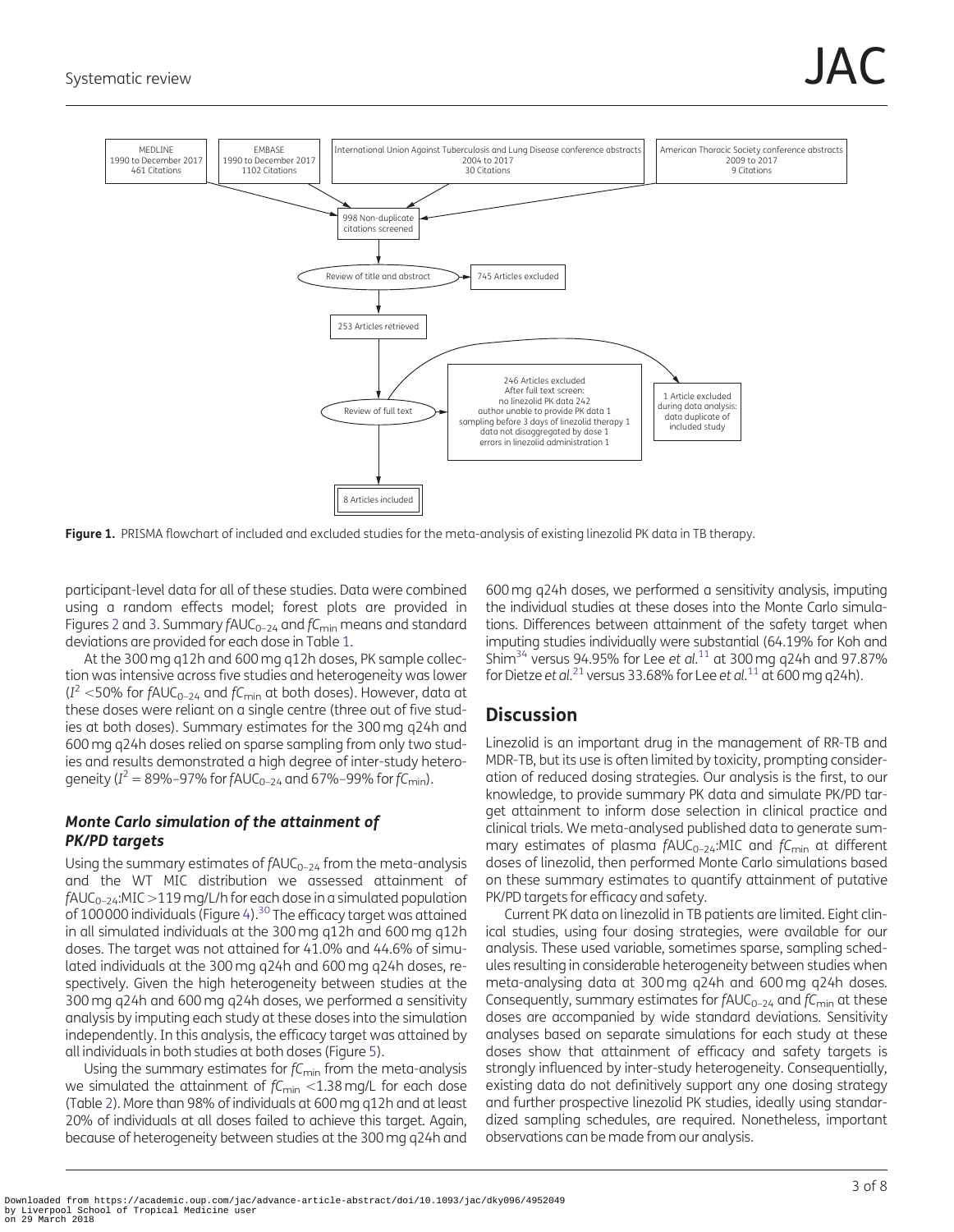<span id="page-2-0"></span>

Figure 1. PRISMA flowchart of included and excluded studies for the meta-analysis of existing linezolid PK data in TB therapy.

participant-level data for all of these studies. Data were combined using a random effects model; forest plots are provided in Figures [2](#page-3-0) and [3.](#page-4-0) Summary  $fAUC_{0-24}$  and  $fC_{\text{min}}$  means and standard deviations are provided for each dose in Table [1.](#page-3-0)

At the 300 mg q12h and 600 mg q12h doses, PK sample collection was intensive across five studies and heterogeneity was lower  $(I<sup>2</sup> < 50%$  for fAUC<sub>0-24</sub> and fC<sub>min</sub> at both doses). However, data at these doses were reliant on a single centre (three out of five studies at both doses). Summary estimates for the 300 mg q24h and 600 mg q24h doses relied on sparse sampling from only two studies and results demonstrated a high degree of inter-study heterogeneity ( $I^2 = 89\% - 97\%$  for  $fAUC_{0-24}$  and 67%–99% for  $fC_{min}$ ).

#### Monte Carlo simulation of the attainment of PK/PD targets

Using the summary estimates of  $fAUC_{0-24}$  from the meta-analysis and the WT MIC distribution we assessed attainment of  $fAUC_{0-24}$ :MIC >119 mg/L/h for each dose in a simulated population of 100000 individuals (Figure [4\)](#page-4-0). $30$  The efficacy target was attained in all simulated individuals at the 300 mg q12h and 600 mg q12h doses. The target was not attained for 41.0% and 44.6% of simulated individuals at the 300 mg q24h and 600 mg q24h doses, respectively. Given the high heterogeneity between studies at the 300 mg q24h and 600 mg q24h doses, we performed a sensitivity analysis by imputing each study at these doses into the simulation independently. In this analysis, the efficacy target was attained by all individuals in both studies at both doses (Figure [5\)](#page-5-0).

Using the summary estimates for  $fC<sub>min</sub>$  from the meta-analysis we simulated the attainment of  $f_{\text{min}} < 1.38$  mg/L for each dose (Table [2\)](#page-5-0). More than 98% of individuals at 600 mg q12h and at least 20% of individuals at all doses failed to achieve this target. Again, because of heterogeneity between studies at the 300 mg q24h and

600 mg q24h doses, we performed a sensitivity analysis, imputing the individual studies at these doses into the Monte Carlo simulations. Differences between attainment of the safety target when imputing studies individually were substantial (64.19% for Koh and Shim<sup>34</sup> versus 94.95% for Lee et al.<sup>[11](#page-6-0)</sup> at 300 mg q24h and 97.87% for Dietze et al.<sup>[21](#page-6-0)</sup> versus 33.68% for Lee et al.<sup>[11](#page-6-0)</sup> at 600 mg q24h).

# **Discussion**

Linezolid is an important drug in the management of RR-TB and MDR-TB, but its use is often limited by toxicity, prompting consideration of reduced dosing strategies. Our analysis is the first, to our knowledge, to provide summary PK data and simulate PK/PD target attainment to inform dose selection in clinical practice and clinical trials. We meta-analysed published data to generate summary estimates of plasma  $fAUC_{0-24}$ :MIC and  $fC_{\text{min}}$  at different doses of linezolid, then performed Monte Carlo simulations based on these summary estimates to quantify attainment of putative PK/PD targets for efficacy and safety.

Current PK data on linezolid in TB patients are limited. Eight clinical studies, using four dosing strategies, were available for our analysis. These used variable, sometimes sparse, sampling schedules resulting in considerable heterogeneity between studies when meta-analysing data at 300 mg q24h and 600 mg q24h doses. Consequently, summary estimates for  $fAUC_{0-24}$  and  $fC_{min}$  at these doses are accompanied by wide standard deviations. Sensitivity analyses based on separate simulations for each study at these doses show that attainment of efficacy and safety targets is strongly influenced by inter-study heterogeneity. Consequentially, existing data do not definitively support any one dosing strategy and further prospective linezolid PK studies, ideally using standardized sampling schedules, are required. Nonetheless, important observations can be made from our analysis.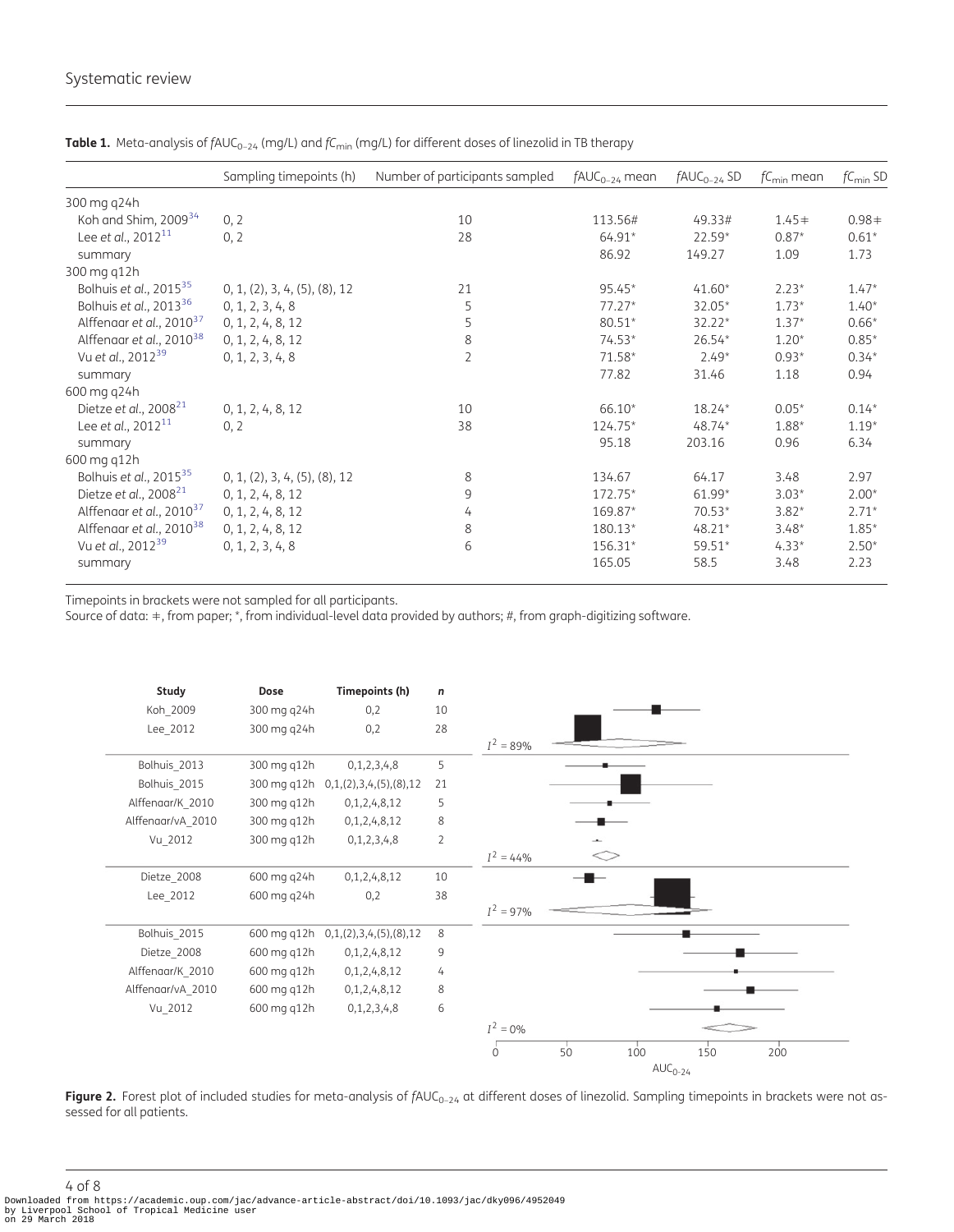|                                      | Sampling timepoints (h)       | Number of participants sampled | $fAUC_{0-24}$ mean | $fAUC_{0-24}$ SD | $fC_{\text{min}}$ mean | $fC_{\text{min}}$ SD |
|--------------------------------------|-------------------------------|--------------------------------|--------------------|------------------|------------------------|----------------------|
| 300 mg q24h                          |                               |                                |                    |                  |                        |                      |
| Koh and Shim, 2009 <sup>34</sup>     | 0, 2                          | 10                             | 113.56#            | 49.33#           | $1.45+$                | $0.98+$              |
| Lee et al., $2012^{11}$              | 0, 2                          | 28                             | 64.91*             | $22.59*$         | $0.87*$                | $0.61*$              |
| summary                              |                               |                                | 86.92              | 149.27           | 1.09                   | 1.73                 |
| 300 mg q12h                          |                               |                                |                    |                  |                        |                      |
| Bolhuis et al., $2015^{35}$          | 0, 1, (2), 3, 4, (5), (8), 12 | 21                             | $95.45*$           | $41.60*$         | $2.23*$                | $1.47*$              |
| Bolhuis et al., $2013^{36}$          | 0, 1, 2, 3, 4, 8              | 5                              | $77.27*$           | 32.05*           | $1.73*$                | $1.40*$              |
| Alffenaar et al., 2010 <sup>37</sup> | 0, 1, 2, 4, 8, 12             | 5                              | 80.51*             | $32.22*$         | $1.37*$                | $0.66*$              |
| Alffenaar et al., 2010 <sup>38</sup> | 0, 1, 2, 4, 8, 12             | $\,8\,$                        | $74.53*$           | $26.54*$         | $1.20*$                | $0.85*$              |
| Vu et al., 2012 <sup>39</sup>        | 0, 1, 2, 3, 4, 8              | $\overline{2}$                 | $71.58*$           | $2.49*$          | $0.93*$                | $0.34*$              |
| summary                              |                               |                                | 77.82              | 31.46            | 1.18                   | 0.94                 |
| 600 mg q24h                          |                               |                                |                    |                  |                        |                      |
| Dietze et al., $2008^{21}$           | 0, 1, 2, 4, 8, 12             | 10                             | 66.10*             | 18.24*           | $0.05*$                | $0.14*$              |
| Lee et al., $2012^{11}$              | 0, 2                          | 38                             | 124.75*            | $48.74*$         | 1.88*                  | $1.19*$              |
| summary                              |                               |                                | 95.18              | 203.16           | 0.96                   | 6.34                 |
| 600 mg q12h                          |                               |                                |                    |                  |                        |                      |
| Bolhuis et al., 2015 <sup>35</sup>   | 0, 1, (2), 3, 4, (5), (8), 12 | 8                              | 134.67             | 64.17            | 3.48                   | 2.97                 |
| Dietze et al., $2008^{21}$           | 0, 1, 2, 4, 8, 12             | 9                              | 172.75*            | $61.99*$         | $3.03*$                | $2.00*$              |
| Alffenaar et al., 2010 <sup>37</sup> | 0, 1, 2, 4, 8, 12             | 4                              | 169.87*            | $70.53*$         | $3.82*$                | $2.71*$              |
| Alffenaar et al., 2010 <sup>38</sup> | 0, 1, 2, 4, 8, 12             | 8                              | 180.13*            | $48.21*$         | $3.48*$                | $1.85*$              |
| Vu et al., 2012 <sup>39</sup>        | 0, 1, 2, 3, 4, 8              | 6                              | 156.31*            | 59.51*           | $4.33*$                | $2.50*$              |
| summary                              |                               |                                | 165.05             | 58.5             | 3.48                   | 2.23                 |

<span id="page-3-0"></span>Table 1. Meta-analysis of  $fAUC_{0-24}$  (mg/L) and  $fC_{min}$  (mg/L) for different doses of linezolid in TB therapy

Timepoints in brackets were not sampled for all participants.

Source of data: -, from paper; \*, from individual-level data provided by authors; #, from graph-digitizing software.



Figure 2. Forest plot of included studies for meta-analysis of  $f\text{AUC}_{0-24}$  at different doses of linezolid. Sampling timepoints in brackets were not assessed for all patients.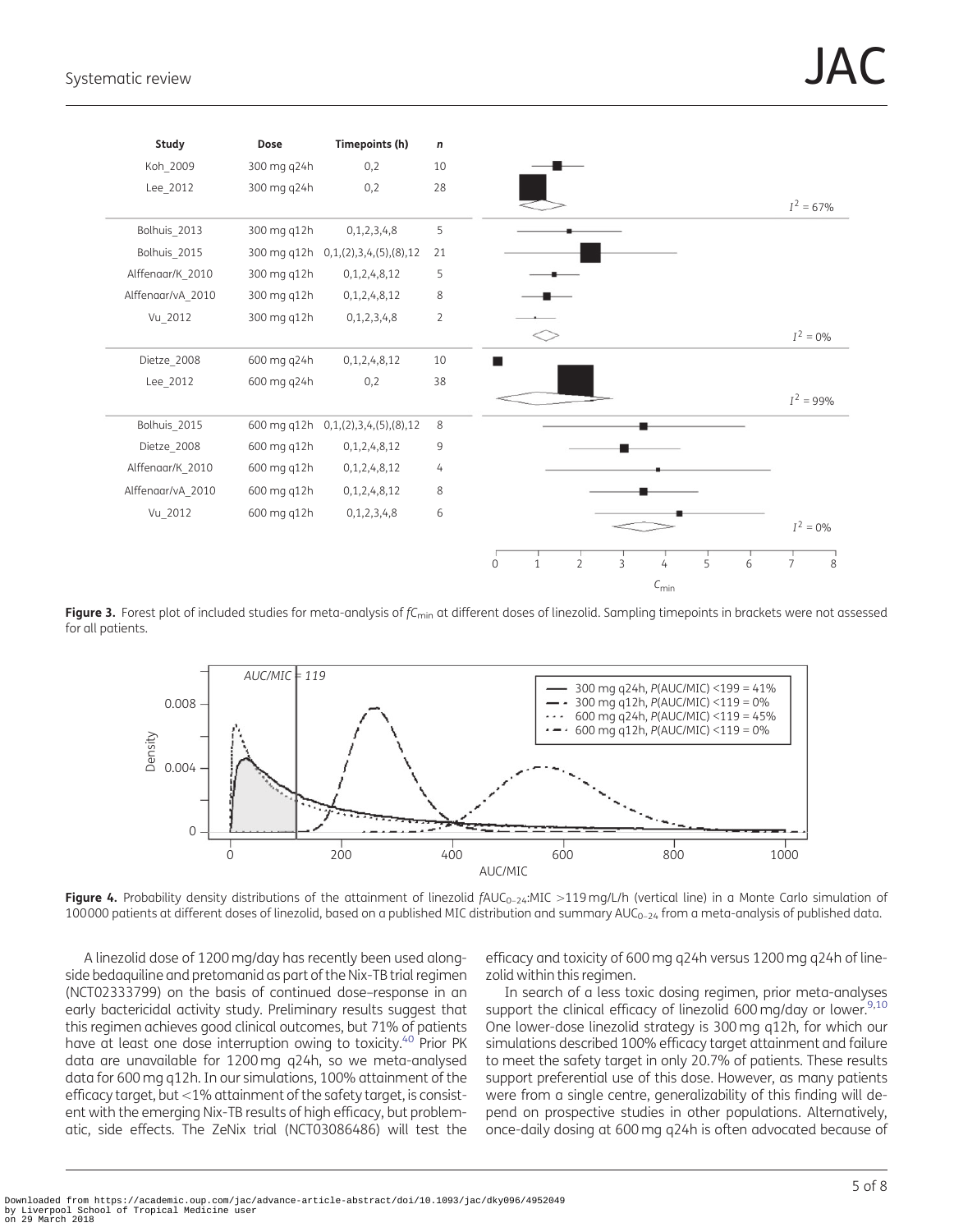<span id="page-4-0"></span>

Figure 3. Forest plot of included studies for meta-analysis of  $f_{\text{Cmin}}$  at different doses of linezolid. Sampling timepoints in brackets were not assessed for all patients.



Figure 4. Probability density distributions of the attainment of linezolid  $fAUC_{0-24}$ :MIC >119 mg/L/h (vertical line) in a Monte Carlo simulation of 100000 patients at different doses of linezolid, based on a published MIC distribution and summary  $AUC_{0-24}$  from a meta-analysis of published data.

A linezolid dose of 1200 mg/day has recently been used alongside bedaquiline and pretomanid as part of the Nix-TB trial regimen (NCT02333799) on the basis of continued dose–response in an early bactericidal activity study. Preliminary results suggest that this regimen achieves good clinical outcomes, but 71% of patients have at least one dose interruption owing to toxicity.<sup>40</sup> Prior PK data are unavailable for 1200 mg q24h, so we meta-analysed data for 600 mg q12h. In our simulations, 100% attainment of the efficacy target, but <1% attainment of the safety target, is consistent with the emerging Nix-TB results of high efficacy, but problematic, side effects. The ZeNix trial (NCT03086486) will test the

efficacy and toxicity of 600 mg q24h versus 1200 mg q24h of linezolid within this regimen.

In search of a less toxic dosing regimen, prior meta-analyses support the clinical efficacy of linezolid 600 mg/day or lower.<sup>9,10</sup> One lower-dose linezolid strategy is 300 mg q12h, for which our simulations described 100% efficacy target attainment and failure to meet the safety target in only 20.7% of patients. These results support preferential use of this dose. However, as many patients were from a single centre, generalizability of this finding will depend on prospective studies in other populations. Alternatively, once-daily dosing at 600 mg q24h is often advocated because of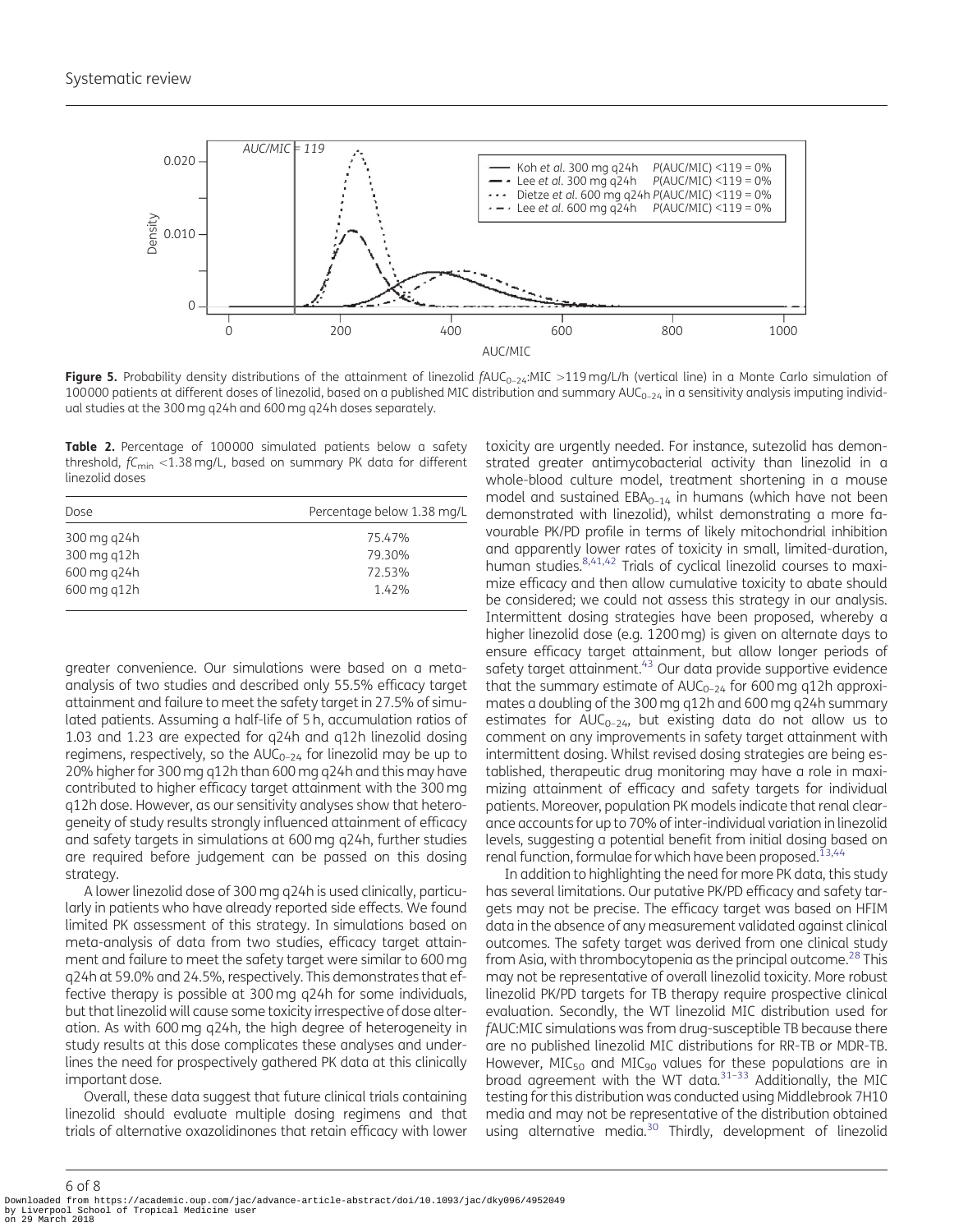<span id="page-5-0"></span>

Figure 5. Probability density distributions of the attainment of linezolid  $fAUC_{0-24}$ :MIC >119 mg/L/h (vertical line) in a Monte Carlo simulation of 100000 patients at different doses of linezolid, based on a published MIC distribution and summary  $AUC_{0-24}$  in a sensitivity analysis imputing individual studies at the 300 mg q24h and 600 mg q24h doses separately.

Table 2. Percentage of 100000 simulated patients below a safety threshold,  $fC<sub>min</sub> < 1.38$  mg/L, based on summary PK data for different linezolid doses

| Dose        | Percentage below 1.38 mg/L |
|-------------|----------------------------|
| 300 mg g24h | 75.47%                     |
| 300 mg g12h | 79.30%                     |
| 600 mg g24h | 72.53%                     |
| 600 mg g12h | 1.42%                      |
|             |                            |

greater convenience. Our simulations were based on a metaanalysis of two studies and described only 55.5% efficacy target attainment and failure to meet the safety target in 27.5% of simulated patients. Assuming a half-life of 5 h, accumulation ratios of 1.03 and 1.23 are expected for q24h and q12h linezolid dosing regimens, respectively, so the  $AUC_{0-24}$  for linezolid may be up to 20% higher for 300 mg q12h than 600 mg q24h and this may have contributed to higher efficacy target attainment with the 300 mg q12h dose. However, as our sensitivity analyses show that heterogeneity of study results strongly influenced attainment of efficacy and safety targets in simulations at 600 mg q24h, further studies are required before judgement can be passed on this dosing strategy.

A lower linezolid dose of 300 mg q24h is used clinically, particularly in patients who have already reported side effects. We found limited PK assessment of this strategy. In simulations based on meta-analysis of data from two studies, efficacy target attainment and failure to meet the safety target were similar to 600 mg q24h at 59.0% and 24.5%, respectively. This demonstrates that effective therapy is possible at 300 mg q24h for some individuals, but that linezolid will cause some toxicity irrespective of dose alteration. As with 600 mg q24h, the high degree of heterogeneity in study results at this dose complicates these analyses and underlines the need for prospectively gathered PK data at this clinically important dose.

Overall, these data suggest that future clinical trials containing linezolid should evaluate multiple dosing regimens and that trials of alternative oxazolidinones that retain efficacy with lower

toxicity are urgently needed. For instance, sutezolid has demonstrated greater antimycobacterial activity than linezolid in a whole-blood culture model, treatment shortening in a mouse model and sustained  $EBA_{0-14}$  in humans (which have not been demonstrated with linezolid), whilst demonstrating a more favourable PK/PD profile in terms of likely mitochondrial inhibition and apparently lower rates of toxicity in small, limited-duration, human studies. 8[,41,42](#page-7-0) Trials of cyclical linezolid courses to maximize efficacy and then allow cumulative toxicity to abate should be considered; we could not assess this strategy in our analysis. Intermittent dosing strategies have been proposed, whereby a higher linezolid dose (e.g. 1200 mg) is given on alternate days to ensure efficacy target attainment, but allow longer periods of safety target attainment.<sup>43</sup> Our data provide supportive evidence that the summary estimate of  $AUC_{0-24}$  for 600 mg q12h approximates a doubling of the 300 mg q12h and 600 mg q24h summary estimates for  $AUC_{0-24}$ , but existing data do not allow us to comment on any improvements in safety target attainment with intermittent dosing. Whilst revised dosing strategies are being established, therapeutic drug monitoring may have a role in maximizing attainment of efficacy and safety targets for individual patients. Moreover, population PK models indicate that renal clearance accounts for up to 70% of inter-individual variation in linezolid levels, suggesting a potential benefit from initial dosing based on renal function, formulae for which have been proposed.<sup>13[,44](#page-7-0)</sup>

In addition to highlighting the need for more PK data, this study has several limitations. Our putative PK/PD efficacy and safety targets may not be precise. The efficacy target was based on HFIM data in the absence of any measurement validated against clinical outcomes. The safety target was derived from one clinical study from Asia, with thrombocytopenia as the principal outcome.<sup>28</sup> This may not be representative of overall linezolid toxicity. More robust linezolid PK/PD targets for TB therapy require prospective clinical evaluation. Secondly, the WT linezolid MIC distribution used for fAUC:MIC simulations was from drug-susceptible TB because there are no published linezolid MIC distributions for RR-TB or MDR-TB. However, MIC<sub>50</sub> and MIC<sub>90</sub> values for these populations are in broad agreement with the WT data.[31–33](#page-7-0) Additionally, the MIC testing for this distribution was conducted using Middlebrook 7H10 media and may not be representative of the distribution obtained using alternative media.<sup>30</sup> Thirdly, development of linezolid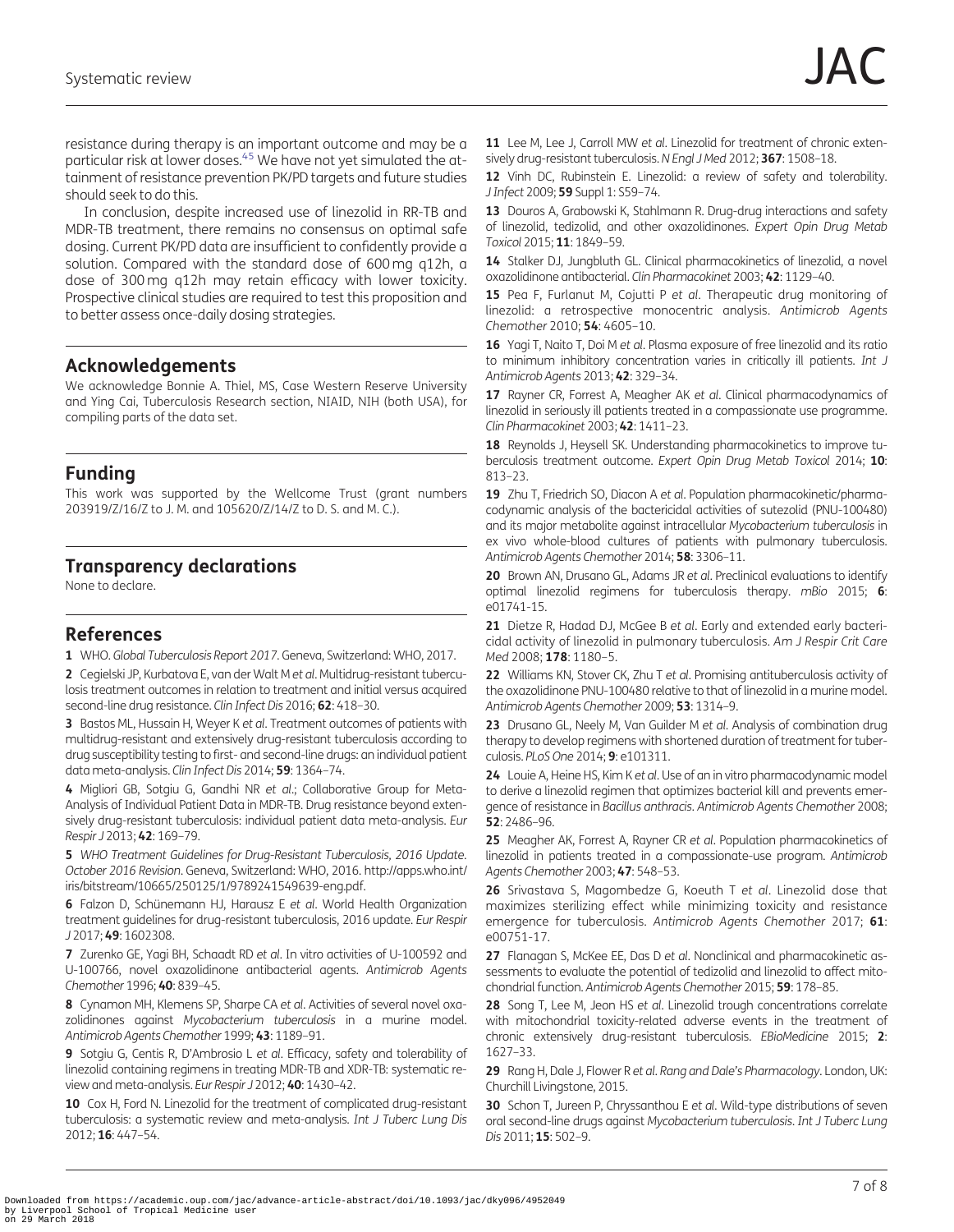<span id="page-6-0"></span>resistance during therapy is an important outcome and may be a particular risk at lower doses.<sup>[45](#page-7-0)</sup> We have not yet simulated the attainment of resistance prevention PK/PD targets and future studies should seek to do this.

In conclusion, despite increased use of linezolid in RR-TB and MDR-TB treatment, there remains no consensus on optimal safe dosing. Current PK/PD data are insufficient to confidently provide a solution. Compared with the standard dose of 600 mg q12h, a dose of 300 mg q12h may retain efficacy with lower toxicity. Prospective clinical studies are required to test this proposition and to better assess once-daily dosing strategies.

# Acknowledgements

We acknowledge Bonnie A. Thiel, MS, Case Western Reserve University and Ying Cai, Tuberculosis Research section, NIAID, NIH (both USA), for compiling parts of the data set.

# Funding

This work was supported by the Wellcome Trust (grant numbers 203919/Z/16/Z to J. M. and 105620/Z/14/Z to D. S. and M. C.).

# Transparency declarations

None to declare.

# References

[1](#page-0-0) WHO. Global Tuberculosis Report 2017. Geneva, Switzerland: WHO, 2017.

2 Cegielski JP, Kurbatova E, van der Walt M et al. Multidrug-resistant tuberculosis treatment outcomes in relation to treatment and initial versus acquired second-line drug resistance. Clin Infect Dis 2016; 62: 418–30.

3 Bastos ML, Hussain H, Weyer K et al. Treatment outcomes of patients with multidrug-resistant and extensively drug-resistant tuberculosis according to drug susceptibility testing to first- and second-line drugs: an individual patient data meta-analysis. Clin Infect Dis 2014; 59: 1364–74.

4 Migliori GB, Sotgiu G, Gandhi NR et al.; Collaborative Group for Meta-Analysis of Individual Patient Data in MDR-TB. Drug resistance beyond extensively drug-resistant tuberculosis: individual patient data meta-analysis. Eur Respir J 2013; 42: 169–79.

[5](#page-0-0) WHO Treatment Guidelines for Drug-Resistant Tuberculosis, 2016 Update. October 2016 Revision. Geneva, Switzerland: WHO, 2016. [http://apps.who.int/](http://apps.who.int/iris/bitstream/10665/250125/1/9789241549639-eng.pdf) [iris/bitstream/10665/250125/1/9789241549639-eng.pdf](http://apps.who.int/iris/bitstream/10665/250125/1/9789241549639-eng.pdf).

[6](#page-0-0) Falzon D, Schünemann HJ, Harausz E et al. World Health Organization treatment guidelines for drug-resistant tuberculosis, 2016 update. Eur Respir J 2017; 49: 1602308.

7 Zurenko GE, Yagi BH, Schaadt RD et al. In vitro activities of U-100592 and U-100766, novel oxazolidinone antibacterial agents. Antimicrob Agents Chemother 1996; 40: 839–45.

[8](#page-5-0) Cynamon MH, Klemens SP, Sharpe CA et al. Activities of several novel oxazolidinones against Mycobacterium tuberculosis in a murine model. Antimicrob Agents Chemother 1999; 43: 1189–91.

[9](#page-4-0) Sotgiu G, Centis R, D'Ambrosio L et al. Efficacy, safety and tolerability of linezolid containing regimens in treating MDR-TB and XDR-TB: systematic review and meta-analysis. Eur Respir J 2012; 40: 1430–42.

[10](#page-4-0) Cox H, Ford N. Linezolid for the treatment of complicated drug-resistant tuberculosis: a systematic review and meta-analysis. Int J Tuberc Lung Dis 2012; 16: 447–54.

[11](#page-2-0) Lee M, Lee J, Carroll MW et al. Linezolid for treatment of chronic extensively drug-resistant tuberculosis.N Engl J Med 2012; 367: 1508–18.

[12](#page-1-0) Vinh DC, Rubinstein E. Linezolid: a review of safety and tolerability. J Infect 2009; 59 Suppl 1: S59–74.

[13](#page-1-0) Douros A, Grabowski K, Stahlmann R. Drug-drug interactions and safety of linezolid, tedizolid, and other oxazolidinones. Expert Opin Drug Metab Toxicol 2015; 11: 1849–59.

[14](#page-1-0) Stalker DJ, Jungbluth GL. Clinical pharmacokinetics of linezolid, a novel oxazolidinone antibacterial. Clin Pharmacokinet 2003; 42: 1129–40.

[15](#page-1-0) Pea F, Furlanut M, Cojutti P et al. Therapeutic drug monitoring of linezolid: a retrospective monocentric analysis. Antimicrob Agents Chemother 2010; 54: 4605–10.

16 Yagi T, Naito T, Doi M et al. Plasma exposure of free linezolid and its ratio to minimum inhibitory concentration varies in critically ill patients. Int J Antimicrob Agents 2013; 42: 329–34.

17 Rayner CR, Forrest A, Meagher AK et al. Clinical pharmacodynamics of linezolid in seriously ill patients treated in a compassionate use programme. Clin Pharmacokinet 2003; 42: 1411–23.

[18](#page-1-0) Reynolds J, Heysell SK. Understanding pharmacokinetics to improve tuberculosis treatment outcome. Expert Opin Drug Metab Toxicol 2014; 10: 813–23.

19 Zhu T, Friedrich SO, Diacon A et al. Population pharmacokinetic/pharmacodynamic analysis of the bactericidal activities of sutezolid (PNU-100480) and its major metabolite against intracellular Mycobacterium tuberculosis in ex vivo whole-blood cultures of patients with pulmonary tuberculosis. Antimicrob Agents Chemother 2014; 58: 3306–11.

[20](#page-1-0) Brown AN, Drusano GL, Adams JR et al. Preclinical evaluations to identify optimal linezolid regimens for tuberculosis therapy. mBio 2015; 6: e01741-15.

[21](#page-2-0) Dietze R, Hadad DJ, McGee B et al. Early and extended early bactericidal activity of linezolid in pulmonary tuberculosis. Am J Respir Crit Care Med 2008; 178: 1180-5.

22 Williams KN, Stover CK, Zhu T et al. Promising antituberculosis activity of the oxazolidinone PNU-100480 relative to that of linezolid in a murine model. Antimicrob Agents Chemother 2009; 53: 1314–9.

23 Drusano GL, Neely M, Van Guilder M et al. Analysis of combination drug therapy to develop regimens with shortened duration of treatment for tuberculosis. PLoS One 2014; 9: e101311.

24 Louie A, Heine HS, Kim K et al. Use of an in vitro pharmacodynamic model to derive a linezolid regimen that optimizes bacterial kill and prevents emergence of resistance in Bacillus anthracis. Antimicrob Agents Chemother 2008; 52: 2486–96.

25 Meagher AK, Forrest A, Rayner CR et al. Population pharmacokinetics of linezolid in patients treated in a compassionate-use program. Antimicrob Agents Chemother 2003; 47: 548–53.

26 Srivastava S, Magombedze G, Koeuth T et al. Linezolid dose that maximizes sterilizing effect while minimizing toxicity and resistance emergence for tuberculosis. Antimicrob Agents Chemother 2017; 61: e00751-17.

[27](#page-1-0) Flanagan S, McKee EE, Das D et al. Nonclinical and pharmacokinetic assessments to evaluate the potential of tedizolid and linezolid to affect mitochondrial function. Antimicrob Agents Chemother 2015; 59: 178–85.

[28](#page-1-0) Song T, Lee M, Jeon HS et al. Linezolid trough concentrations correlate with mitochondrial toxicity-related adverse events in the treatment of chronic extensively drug-resistant tuberculosis. EBioMedicine 2015; 2: 1627–33.

[29](#page-1-0) Rang H, Dale J, Flower R et al. Rang and Dale's Pharmacology. London, UK: Churchill Livingstone, 2015.

[30](#page-1-0) Schon T, Jureen P, Chryssanthou E et al. Wild-type distributions of seven oral second-line drugs against Mycobacterium tuberculosis. Int J Tuberc Lung Dis 2011; 15: 502-9.